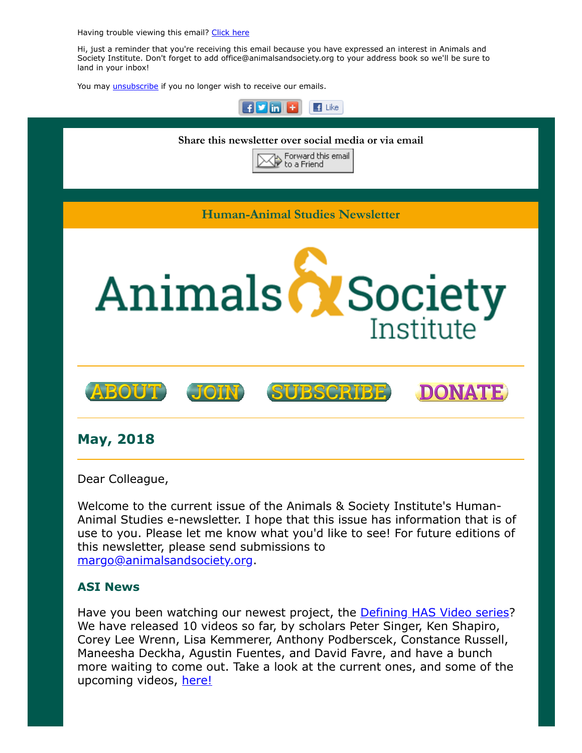Having trouble viewing this email? [Click](http://campaign.r20.constantcontact.com/render?ca=2549eef1-9f80-4cc7-9547-41edc96a8b12&preview=true&m=1117082078075&id=preview) here

Hi, just a reminder that you're receiving this email because you have expressed an interest in Animals and Society Institute. Don't forget to add office@animalsandsociety.org to your address book so we'll be sure to land in your inbox!

You may *[unsubscribe](https://visitor.constantcontact.com/do?p=un&mse=0016u8cGCOk4ijLe6EYFlbq8UmlFeKV0nFU&t=001YZ833UMnaO3t8JXd1GGqAA%3D%3D&id=001b-xBWU3VMkcM8dYr8taaWXSJRe02Iknl&llr=88spulqab)* if you no longer wish to receive our emails.



Dear Colleague,

Welcome to the current issue of the Animals & Society Institute's Human-Animal Studies e-newsletter. I hope that this issue has information that is of use to you. Please let me know what you'd like to see! For future editions of this newsletter, please send submissions to [margo@animalsandsociety.org](mailto:margo@animalsandsociety.org).

### ASI News

Have you been watching our newest project, the **Defining HAS Video series?** We have released 10 videos so far, by scholars Peter Singer, Ken Shapiro, Corey Lee Wrenn, Lisa Kemmerer, Anthony Podberscek, Constance Russell, Maneesha Deckha, Agustin Fuentes, and David Favre, and have a bunch more waiting to come out. Take a look at the current ones, and some of the upcoming videos, [here!](https://www.animalsandsociety.org/human-animal-studies/defining-human-animal-studies-an-asi-video-project/)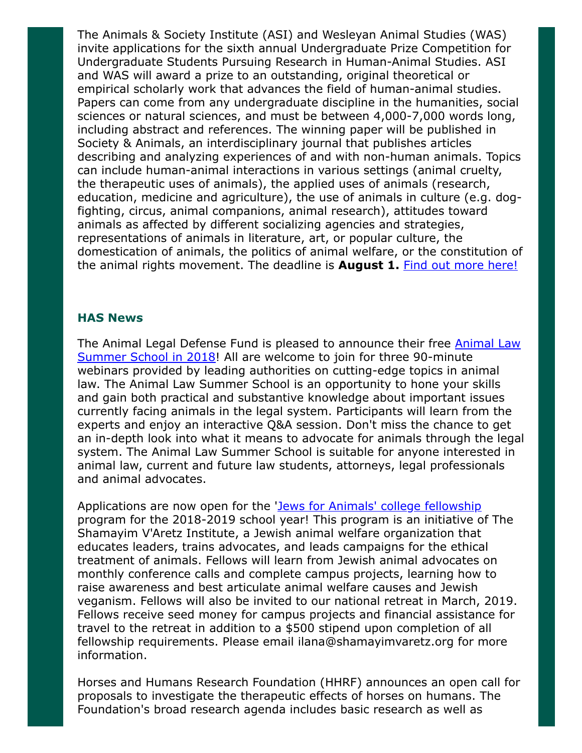The Animals & Society Institute (ASI) and Wesleyan Animal Studies (WAS) invite applications for the sixth annual Undergraduate Prize Competition for Undergraduate Students Pursuing Research in Human-Animal Studies. ASI and WAS will award a prize to an outstanding, original theoretical or empirical scholarly work that advances the field of human-animal studies. Papers can come from any undergraduate discipline in the humanities, social sciences or natural sciences, and must be between 4,000-7,000 words long, including abstract and references. The winning paper will be published in Society & Animals, an interdisciplinary journal that publishes articles describing and analyzing experiences of and with non-human animals. Topics can include human-animal interactions in various settings (animal cruelty, the therapeutic uses of animals), the applied uses of animals (research, education, medicine and agriculture), the use of animals in culture (e.g. dogfighting, circus, animal companions, animal research), attitudes toward animals as affected by different socializing agencies and strategies, representations of animals in literature, art, or popular culture, the domestication of animals, the politics of animal welfare, or the constitution of the animal rights movement. The deadline is **August 1.** [Find out more here!](https://www.animalsandsociety.org/call-for-submissions-asi-was-undergraduate-paper-prize-in-human-animal-studies/)

#### HAS News

[The Animal Legal Defense Fund is pleased to announce their free Animal Law](http://aldf.org/animal-law-academy/animal-law-summer-school-2018/) Summer School in 2018! All are welcome to join for three 90-minute webinars provided by leading authorities on cutting-edge topics in animal law. The Animal Law Summer School is an opportunity to hone your skills and gain both practical and substantive knowledge about important issues currently facing animals in the legal system. Participants will learn from the experts and enjoy an interactive Q&A session. Don't miss the chance to get an in-depth look into what it means to advocate for animals through the legal system. The Animal Law Summer School is suitable for anyone interested in animal law, current and future law students, attorneys, legal professionals and animal advocates.

Applications are now open for the '[Jews for Animals' college fellowship](http://www.shamayimvaretz.org/fellowship-information.html) program for the 2018-2019 school year! This program is an initiative of The Shamayim V'Aretz Institute, a Jewish animal welfare organization that educates leaders, trains advocates, and leads campaigns for the ethical treatment of animals. Fellows will learn from Jewish animal advocates on monthly conference calls and complete campus projects, learning how to raise awareness and best articulate animal welfare causes and Jewish veganism. Fellows will also be invited to our national retreat in March, 2019. Fellows receive seed money for campus projects and financial assistance for travel to the retreat in addition to a \$500 stipend upon completion of all fellowship requirements. Please email ilana@shamayimvaretz.org for more information.

Horses and Humans Research Foundation (HHRF) announces an open call for proposals to investigate the therapeutic effects of horses on humans. The Foundation's broad research agenda includes basic research as well as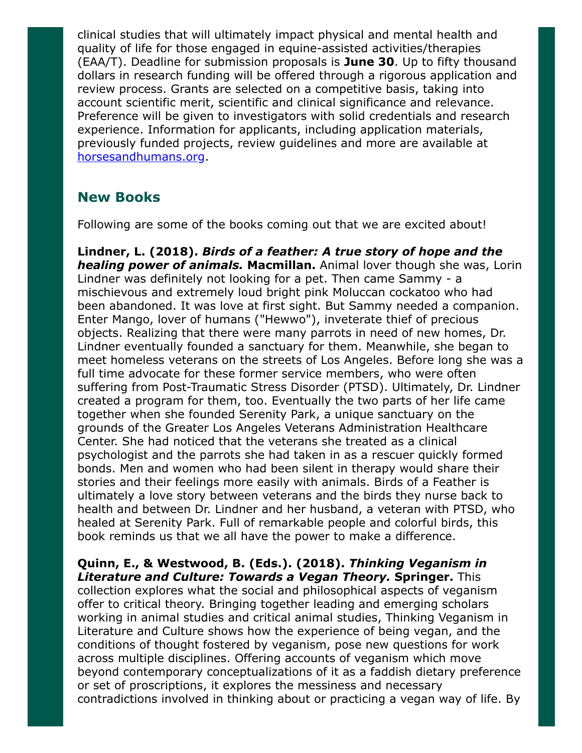clinical studies that will ultimately impact physical and mental health and quality of life for those engaged in equine-assisted activities/therapies  $(EAA/T)$ . Deadline for submission proposals is **June 30**. Up to fifty thousand dollars in research funding will be offered through a rigorous application and review process. Grants are selected on a competitive basis, taking into account scientific merit, scientific and clinical significance and relevance. Preference will be given to investigators with solid credentials and research experience. Information for applicants, including application materials, previously funded projects, review guidelines and more are available at [horsesandhumans.org.](http://www.horsesandhumans.org/)

## New Books

Following are some of the books coming out that we are excited about!

Lindner, L. (2018). Birds of a feather: A true story of hope and the **healing power of animals. Macmillan.** Animal lover though she was, Lorin Lindner was definitely not looking for a pet. Then came Sammy - a mischievous and extremely loud bright pink Moluccan cockatoo who had been abandoned. It was love at first sight. But Sammy needed a companion. Enter Mango, lover of humans ("Hewwo"), inveterate thief of precious objects. Realizing that there were many parrots in need of new homes, Dr. Lindner eventually founded a sanctuary for them. Meanwhile, she began to meet homeless veterans on the streets of Los Angeles. Before long she was a full time advocate for these former service members, who were often suffering from Post-Traumatic Stress Disorder (PTSD). Ultimately, Dr. Lindner created a program for them, too. Eventually the two parts of her life came together when she founded Serenity Park, a unique sanctuary on the grounds of the Greater Los Angeles Veterans Administration Healthcare Center. She had noticed that the veterans she treated as a clinical psychologist and the parrots she had taken in as a rescuer quickly formed bonds. Men and women who had been silent in therapy would share their stories and their feelings more easily with animals. Birds of a Feather is ultimately a love story between veterans and the birds they nurse back to health and between Dr. Lindner and her husband, a veteran with PTSD, who healed at Serenity Park. Full of remarkable people and colorful birds, this book reminds us that we all have the power to make a difference.

Quinn, E., & Westwood, B. (Eds.). (2018). Thinking Veganism in Literature and Culture: Towards a Vegan Theory. Springer. This collection explores what the social and philosophical aspects of veganism offer to critical theory. Bringing together leading and emerging scholars working in animal studies and critical animal studies, Thinking Veganism in Literature and Culture shows how the experience of being vegan, and the conditions of thought fostered by veganism, pose new questions for work across multiple disciplines. Offering accounts of veganism which move beyond contemporary conceptualizations of it as a faddish dietary preference or set of proscriptions, it explores the messiness and necessary contradictions involved in thinking about or practicing a vegan way of life. By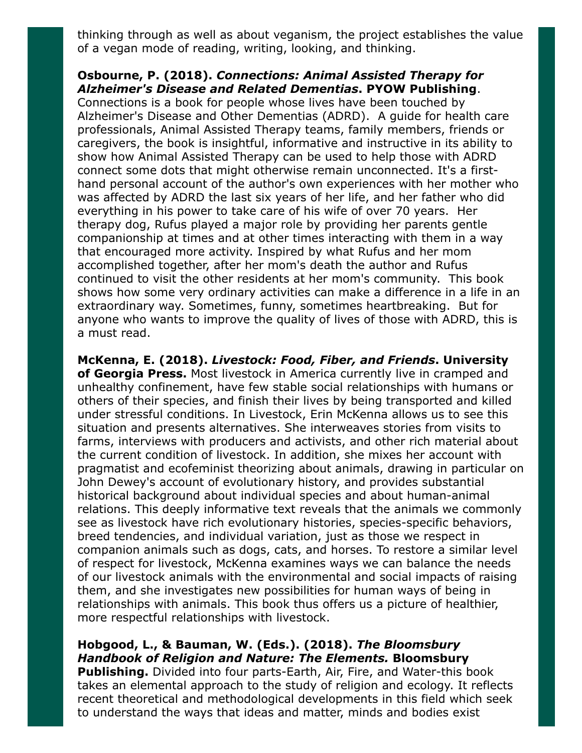thinking through as well as about veganism, the project establishes the value of a vegan mode of reading, writing, looking, and thinking.

## Osbourne, P. (2018). Connections: Animal Assisted Therapy for Alzheimer's Disease and Related Dementias. PYOW Publishing.

Connections is a book for people whose lives have been touched by Alzheimer's Disease and Other Dementias (ADRD). A guide for health care professionals, Animal Assisted Therapy teams, family members, friends or caregivers, the book is insightful, informative and instructive in its ability to show how Animal Assisted Therapy can be used to help those with ADRD connect some dots that might otherwise remain unconnected. It's a firsthand personal account of the author's own experiences with her mother who was affected by ADRD the last six years of her life, and her father who did everything in his power to take care of his wife of over 70 years. Her therapy dog, Rufus played a major role by providing her parents gentle companionship at times and at other times interacting with them in a way that encouraged more activity. Inspired by what Rufus and her mom accomplished together, after her mom's death the author and Rufus continued to visit the other residents at her mom's community. This book shows how some very ordinary activities can make a difference in a life in an extraordinary way. Sometimes, funny, sometimes heartbreaking. But for anyone who wants to improve the quality of lives of those with ADRD, this is a must read.

McKenna, E. (2018). Livestock: Food, Fiber, and Friends. University of Georgia Press. Most livestock in America currently live in cramped and unhealthy confinement, have few stable social relationships with humans or others of their species, and finish their lives by being transported and killed under stressful conditions. In Livestock, Erin McKenna allows us to see this situation and presents alternatives. She interweaves stories from visits to farms, interviews with producers and activists, and other rich material about the current condition of livestock. In addition, she mixes her account with pragmatist and ecofeminist theorizing about animals, drawing in particular on John Dewey's account of evolutionary history, and provides substantial historical background about individual species and about human-animal relations. This deeply informative text reveals that the animals we commonly see as livestock have rich evolutionary histories, species-specific behaviors, breed tendencies, and individual variation, just as those we respect in companion animals such as dogs, cats, and horses. To restore a similar level of respect for livestock, McKenna examines ways we can balance the needs of our livestock animals with the environmental and social impacts of raising them, and she investigates new possibilities for human ways of being in relationships with animals. This book thus offers us a picture of healthier, more respectful relationships with livestock.

## Hobgood, L., & Bauman, W. (Eds.). (2018). The Bloomsbury Handbook of Religion and Nature: The Elements. Bloomsbury

Publishing. Divided into four parts-Earth, Air, Fire, and Water-this book takes an elemental approach to the study of religion and ecology. It reflects recent theoretical and methodological developments in this field which seek to understand the ways that ideas and matter, minds and bodies exist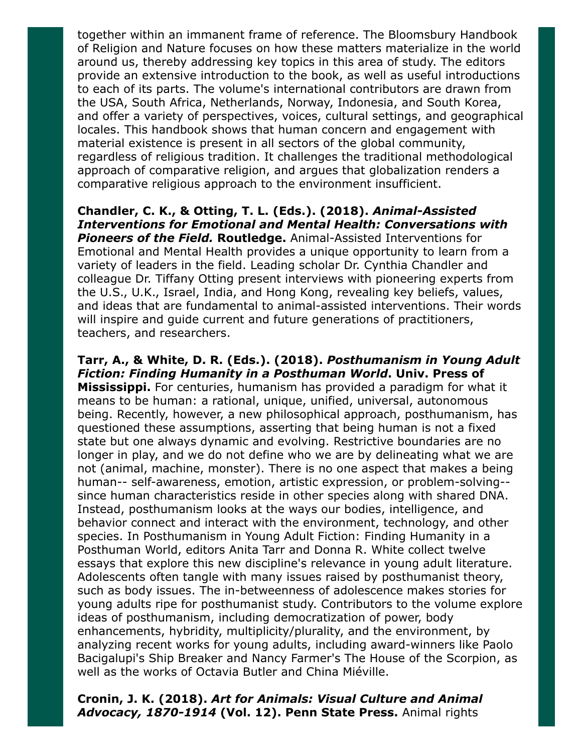together within an immanent frame of reference. The Bloomsbury Handbook of Religion and Nature focuses on how these matters materialize in the world around us, thereby addressing key topics in this area of study. The editors provide an extensive introduction to the book, as well as useful introductions to each of its parts. The volume's international contributors are drawn from the USA, South Africa, Netherlands, Norway, Indonesia, and South Korea, and offer a variety of perspectives, voices, cultural settings, and geographical locales. This handbook shows that human concern and engagement with material existence is present in all sectors of the global community, regardless of religious tradition. It challenges the traditional methodological approach of comparative religion, and argues that globalization renders a comparative religious approach to the environment insufficient.

Chandler, C. K., & Otting, T. L. (Eds.). (2018). Animal-Assisted Interventions for Emotional and Mental Health: Conversations with **Pioneers of the Field. Routledge.** Animal-Assisted Interventions for Emotional and Mental Health provides a unique opportunity to learn from a variety of leaders in the field. Leading scholar Dr. Cynthia Chandler and colleague Dr. Tiffany Otting present interviews with pioneering experts from the U.S., U.K., Israel, India, and Hong Kong, revealing key beliefs, values, and ideas that are fundamental to animal-assisted interventions. Their words will inspire and guide current and future generations of practitioners, teachers, and researchers.

Tarr, A., & White, D. R. (Eds.). (2018). Posthumanism in Young Adult Fiction: Finding Humanity in a Posthuman World. Univ. Press of **Mississippi.** For centuries, humanism has provided a paradigm for what it means to be human: a rational, unique, unified, universal, autonomous being. Recently, however, a new philosophical approach, posthumanism, has questioned these assumptions, asserting that being human is not a fixed state but one always dynamic and evolving. Restrictive boundaries are no longer in play, and we do not define who we are by delineating what we are not (animal, machine, monster). There is no one aspect that makes a being human-- self-awareness, emotion, artistic expression, or problem-solving- since human characteristics reside in other species along with shared DNA. Instead, posthumanism looks at the ways our bodies, intelligence, and behavior connect and interact with the environment, technology, and other species. In Posthumanism in Young Adult Fiction: Finding Humanity in a Posthuman World, editors Anita Tarr and Donna R. White collect twelve essays that explore this new discipline's relevance in young adult literature. Adolescents often tangle with many issues raised by posthumanist theory, such as body issues. The in-betweenness of adolescence makes stories for young adults ripe for posthumanist study. Contributors to the volume explore ideas of posthumanism, including democratization of power, body enhancements, hybridity, multiplicity/plurality, and the environment, by analyzing recent works for young adults, including award-winners like Paolo Bacigalupi's Ship Breaker and Nancy Farmer's The House of the Scorpion, as well as the works of Octavia Butler and China Miéville.

### Cronin, J. K. (2018). Art for Animals: Visual Culture and Animal Advocacy, 1870-1914 (Vol. 12). Penn State Press. Animal rights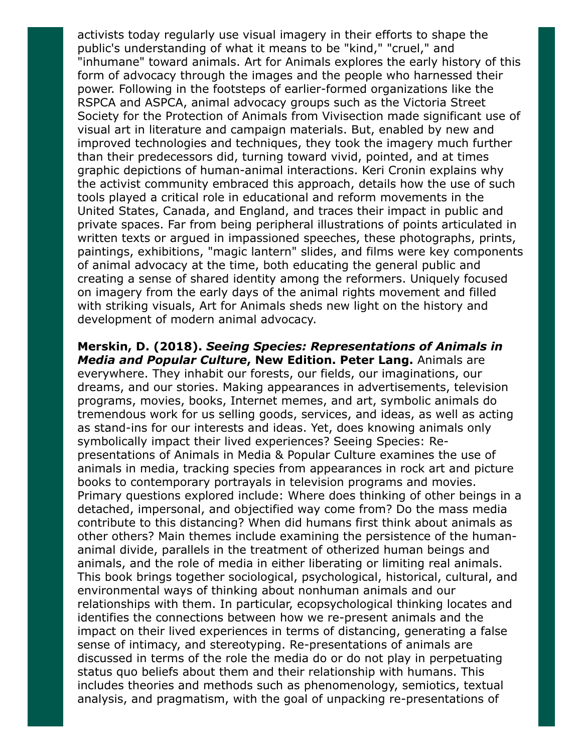activists today regularly use visual imagery in their efforts to shape the public's understanding of what it means to be "kind," "cruel," and "inhumane" toward animals. Art for Animals explores the early history of this form of advocacy through the images and the people who harnessed their power. Following in the footsteps of earlier-formed organizations like the RSPCA and ASPCA, animal advocacy groups such as the Victoria Street Society for the Protection of Animals from Vivisection made significant use of visual art in literature and campaign materials. But, enabled by new and improved technologies and techniques, they took the imagery much further than their predecessors did, turning toward vivid, pointed, and at times graphic depictions of human-animal interactions. Keri Cronin explains why the activist community embraced this approach, details how the use of such tools played a critical role in educational and reform movements in the United States, Canada, and England, and traces their impact in public and private spaces. Far from being peripheral illustrations of points articulated in written texts or argued in impassioned speeches, these photographs, prints, paintings, exhibitions, "magic lantern" slides, and films were key components of animal advocacy at the time, both educating the general public and creating a sense of shared identity among the reformers. Uniquely focused on imagery from the early days of the animal rights movement and filled with striking visuals, Art for Animals sheds new light on the history and development of modern animal advocacy.

Merskin, D. (2018). Seeing Species: Representations of Animals in Media and Popular Culture, New Edition. Peter Lang. Animals are everywhere. They inhabit our forests, our fields, our imaginations, our dreams, and our stories. Making appearances in advertisements, television programs, movies, books, Internet memes, and art, symbolic animals do tremendous work for us selling goods, services, and ideas, as well as acting as stand-ins for our interests and ideas. Yet, does knowing animals only symbolically impact their lived experiences? Seeing Species: Representations of Animals in Media & Popular Culture examines the use of animals in media, tracking species from appearances in rock art and picture books to contemporary portrayals in television programs and movies. Primary questions explored include: Where does thinking of other beings in a detached, impersonal, and objectified way come from? Do the mass media contribute to this distancing? When did humans first think about animals as other others? Main themes include examining the persistence of the humananimal divide, parallels in the treatment of otherized human beings and animals, and the role of media in either liberating or limiting real animals. This book brings together sociological, psychological, historical, cultural, and environmental ways of thinking about nonhuman animals and our relationships with them. In particular, ecopsychological thinking locates and identifies the connections between how we re-present animals and the impact on their lived experiences in terms of distancing, generating a false sense of intimacy, and stereotyping. Re-presentations of animals are discussed in terms of the role the media do or do not play in perpetuating status quo beliefs about them and their relationship with humans. This includes theories and methods such as phenomenology, semiotics, textual analysis, and pragmatism, with the goal of unpacking re-presentations of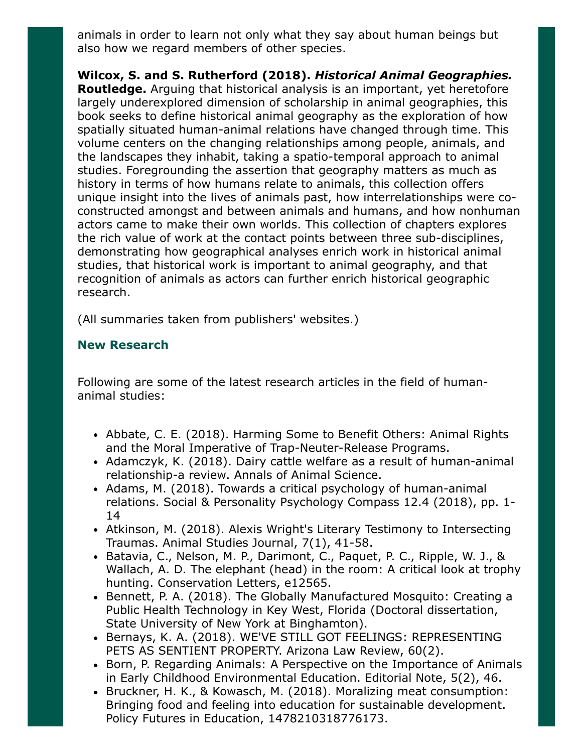animals in order to learn not only what they say about human beings but also how we regard members of other species.

Wilcox, S. and S. Rutherford (2018). Historical Animal Geographies. Routledge. Arguing that historical analysis is an important, yet heretofore largely underexplored dimension of scholarship in animal geographies, this book seeks to define historical animal geography as the exploration of how spatially situated human-animal relations have changed through time. This volume centers on the changing relationships among people, animals, and the landscapes they inhabit, taking a spatio-temporal approach to animal studies. Foregrounding the assertion that geography matters as much as history in terms of how humans relate to animals, this collection offers unique insight into the lives of animals past, how interrelationships were coconstructed amongst and between animals and humans, and how nonhuman actors came to make their own worlds. This collection of chapters explores the rich value of work at the contact points between three sub-disciplines, demonstrating how geographical analyses enrich work in historical animal studies, that historical work is important to animal geography, and that recognition of animals as actors can further enrich historical geographic research.

(All summaries taken from publishers' websites.)

## New Research

Following are some of the latest research articles in the field of humananimal studies:

- Abbate, C. E. (2018). Harming Some to Benefit Others: Animal Rights and the Moral Imperative of Trap-Neuter-Release Programs.
- Adamczyk, K. (2018). Dairy cattle welfare as a result of human-animal relationship-a review. Annals of Animal Science.
- Adams, M. (2018). Towards a critical psychology of human-animal relations. Social & Personality Psychology Compass 12.4 (2018), pp. 1- 14
- Atkinson, M. (2018). Alexis Wright's Literary Testimony to Intersecting Traumas. Animal Studies Journal, 7(1), 41-58.
- Batavia, C., Nelson, M. P., Darimont, C., Paquet, P. C., Ripple, W. J., & Wallach, A. D. The elephant (head) in the room: A critical look at trophy hunting. Conservation Letters, e12565.
- Bennett, P. A. (2018). The Globally Manufactured Mosquito: Creating a Public Health Technology in Key West, Florida (Doctoral dissertation, State University of New York at Binghamton).
- Bernays, K. A. (2018). WE'VE STILL GOT FEELINGS: REPRESENTING PETS AS SENTIENT PROPERTY. Arizona Law Review, 60(2).
- Born, P. Regarding Animals: A Perspective on the Importance of Animals in Early Childhood Environmental Education. Editorial Note, 5(2), 46.
- Bruckner, H. K., & Kowasch, M. (2018). Moralizing meat consumption: Bringing food and feeling into education for sustainable development. Policy Futures in Education, 1478210318776173.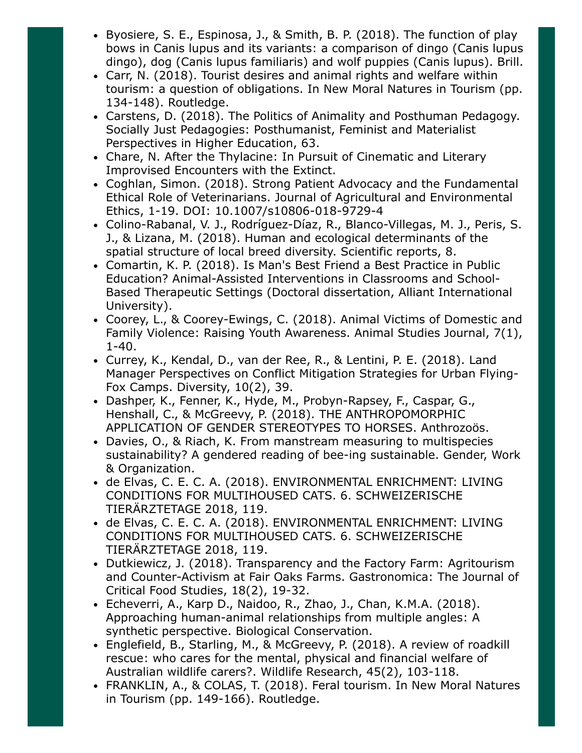- Byosiere, S. E., Espinosa, J., & Smith, B. P. (2018). The function of play bows in Canis lupus and its variants: a comparison of dingo (Canis lupus dingo), dog (Canis lupus familiaris) and wolf puppies (Canis lupus). Brill.
- Carr, N. (2018). Tourist desires and animal rights and welfare within tourism: a question of obligations. In New Moral Natures in Tourism (pp. 134-148). Routledge.
- Carstens, D. (2018). The Politics of Animality and Posthuman Pedagogy. Socially Just Pedagogies: Posthumanist, Feminist and Materialist Perspectives in Higher Education, 63.
- Chare, N. After the Thylacine: In Pursuit of Cinematic and Literary Improvised Encounters with the Extinct.
- Coghlan, Simon. (2018). Strong Patient Advocacy and the Fundamental Ethical Role of Veterinarians. Journal of Agricultural and Environmental Ethics, 1-19. DOI: 10.1007/s10806-018-9729-4
- Colino-Rabanal, V. J., Rodríguez-Díaz, R., Blanco-Villegas, M. J., Peris, S. J., & Lizana, M. (2018). Human and ecological determinants of the spatial structure of local breed diversity. Scientific reports, 8.
- Comartin, K. P. (2018). Is Man's Best Friend a Best Practice in Public Education? Animal-Assisted Interventions in Classrooms and School-Based Therapeutic Settings (Doctoral dissertation, Alliant International University).
- Coorey, L., & Coorey-Ewings, C. (2018). Animal Victims of Domestic and Family Violence: Raising Youth Awareness. Animal Studies Journal, 7(1), 1-40.
- Currey, K., Kendal, D., van der Ree, R., & Lentini, P. E. (2018). Land Manager Perspectives on Conflict Mitigation Strategies for Urban Flying-Fox Camps. Diversity, 10(2), 39.
- Dashper, K., Fenner, K., Hyde, M., Probyn-Rapsey, F., Caspar, G., Henshall, C., & McGreevy, P. (2018). THE ANTHROPOMORPHIC APPLICATION OF GENDER STEREOTYPES TO HORSES. Anthrozoös.
- Davies, O., & Riach, K. From manstream measuring to multispecies sustainability? A gendered reading of bee-ing sustainable. Gender, Work & Organization.
- de Elvas, C. E. C. A. (2018). ENVIRONMENTAL ENRICHMENT: LIVING CONDITIONS FOR MULTIHOUSED CATS. 6. SCHWEIZERISCHE TIERÄRZTETAGE 2018, 119.
- de Elvas, C. E. C. A. (2018). ENVIRONMENTAL ENRICHMENT: LIVING CONDITIONS FOR MULTIHOUSED CATS. 6. SCHWEIZERISCHE TIERÄRZTETAGE 2018, 119.
- Dutkiewicz, J. (2018). Transparency and the Factory Farm: Agritourism and Counter-Activism at Fair Oaks Farms. Gastronomica: The Journal of Critical Food Studies, 18(2), 19-32.
- Echeverri, A., Karp D., Naidoo, R., Zhao, J., Chan, K.M.A. (2018). Approaching human-animal relationships from multiple angles: A synthetic perspective. Biological Conservation.
- Englefield, B., Starling, M., & McGreevy, P. (2018). A review of roadkill rescue: who cares for the mental, physical and financial welfare of Australian wildlife carers?. Wildlife Research, 45(2), 103-118.
- FRANKLIN, A., & COLAS, T. (2018). Feral tourism. In New Moral Natures in Tourism (pp. 149-166). Routledge.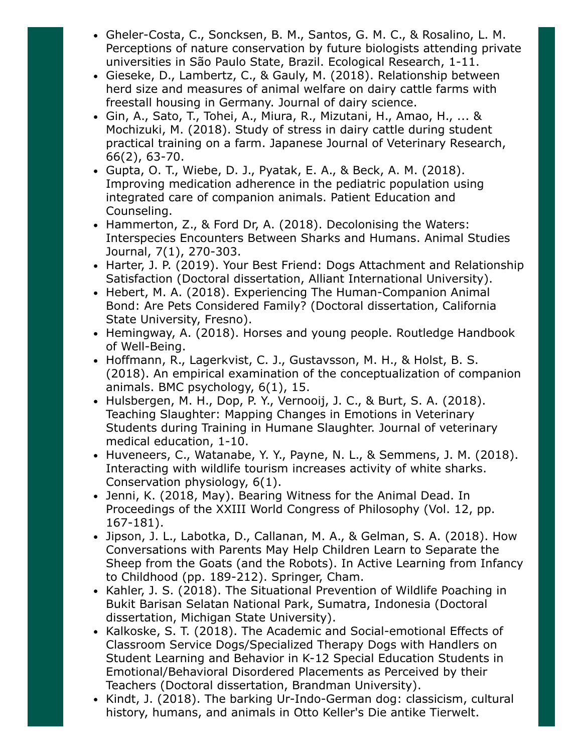- Gheler-Costa, C., Soncksen, B. M., Santos, G. M. C., & Rosalino, L. M. Perceptions of nature conservation by future biologists attending private universities in São Paulo State, Brazil. Ecological Research, 1-11.
- Gieseke, D., Lambertz, C., & Gauly, M. (2018). Relationship between herd size and measures of animal welfare on dairy cattle farms with freestall housing in Germany. Journal of dairy science.
- Gin, A., Sato, T., Tohei, A., Miura, R., Mizutani, H., Amao, H., ... & Mochizuki, M. (2018). Study of stress in dairy cattle during student practical training on a farm. Japanese Journal of Veterinary Research, 66(2), 63-70.
- Gupta, O. T., Wiebe, D. J., Pyatak, E. A., & Beck, A. M. (2018). Improving medication adherence in the pediatric population using integrated care of companion animals. Patient Education and Counseling.
- Hammerton, Z., & Ford Dr, A. (2018). Decolonising the Waters: Interspecies Encounters Between Sharks and Humans. Animal Studies Journal, 7(1), 270-303.
- Harter, J. P. (2019). Your Best Friend: Dogs Attachment and Relationship Satisfaction (Doctoral dissertation, Alliant International University).
- Hebert, M. A. (2018). Experiencing The Human-Companion Animal Bond: Are Pets Considered Family? (Doctoral dissertation, California State University, Fresno).
- Hemingway, A. (2018). Horses and young people. Routledge Handbook of Well-Being.
- Hoffmann, R., Lagerkvist, C. J., Gustavsson, M. H., & Holst, B. S. (2018). An empirical examination of the conceptualization of companion animals. BMC psychology, 6(1), 15.
- Hulsbergen, M. H., Dop, P. Y., Vernooij, J. C., & Burt, S. A. (2018). Teaching Slaughter: Mapping Changes in Emotions in Veterinary Students during Training in Humane Slaughter. Journal of veterinary medical education, 1-10.
- Huveneers, C., Watanabe, Y. Y., Payne, N. L., & Semmens, J. M. (2018). Interacting with wildlife tourism increases activity of white sharks. Conservation physiology, 6(1).
- Jenni, K. (2018, May). Bearing Witness for the Animal Dead. In Proceedings of the XXIII World Congress of Philosophy (Vol. 12, pp. 167-181).
- Jipson, J. L., Labotka, D., Callanan, M. A., & Gelman, S. A. (2018). How Conversations with Parents May Help Children Learn to Separate the Sheep from the Goats (and the Robots). In Active Learning from Infancy to Childhood (pp. 189-212). Springer, Cham.
- Kahler, J. S. (2018). The Situational Prevention of Wildlife Poaching in Bukit Barisan Selatan National Park, Sumatra, Indonesia (Doctoral dissertation, Michigan State University).
- Kalkoske, S. T. (2018). The Academic and Social-emotional Effects of Classroom Service Dogs/Specialized Therapy Dogs with Handlers on Student Learning and Behavior in K-12 Special Education Students in Emotional/Behavioral Disordered Placements as Perceived by their Teachers (Doctoral dissertation, Brandman University).
- Kindt, J. (2018). The barking Ur-Indo-German dog: classicism, cultural history, humans, and animals in Otto Keller's Die antike Tierwelt.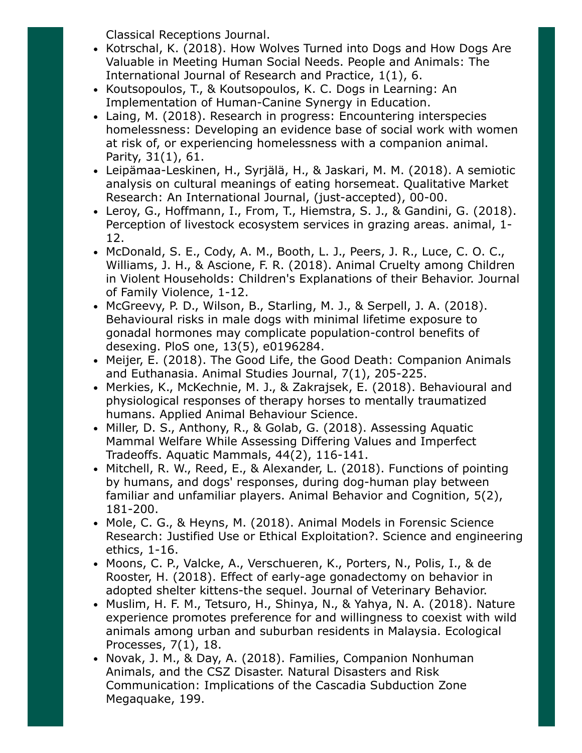Classical Receptions Journal.

- Kotrschal, K. (2018). How Wolves Turned into Dogs and How Dogs Are Valuable in Meeting Human Social Needs. People and Animals: The International Journal of Research and Practice, 1(1), 6.
- Koutsopoulos, T., & Koutsopoulos, K. C. Dogs in Learning: An Implementation of Human-Canine Synergy in Education.
- Laing, M. (2018). Research in progress: Encountering interspecies homelessness: Developing an evidence base of social work with women at risk of, or experiencing homelessness with a companion animal. Parity, 31(1), 61.
- Leipämaa-Leskinen, H., Syrjälä, H., & Jaskari, M. M. (2018). A semiotic analysis on cultural meanings of eating horsemeat. Qualitative Market Research: An International Journal, (just-accepted), 00-00.
- Leroy, G., Hoffmann, I., From, T., Hiemstra, S. J., & Gandini, G. (2018). Perception of livestock ecosystem services in grazing areas. animal, 1- 12.
- McDonald, S. E., Cody, A. M., Booth, L. J., Peers, J. R., Luce, C. O. C., Williams, J. H., & Ascione, F. R. (2018). Animal Cruelty among Children in Violent Households: Children's Explanations of their Behavior. Journal of Family Violence, 1-12.
- McGreevy, P. D., Wilson, B., Starling, M. J., & Serpell, J. A. (2018). Behavioural risks in male dogs with minimal lifetime exposure to gonadal hormones may complicate population-control benefits of desexing. PloS one, 13(5), e0196284.
- Meijer, E. (2018). The Good Life, the Good Death: Companion Animals and Euthanasia. Animal Studies Journal, 7(1), 205-225.
- Merkies, K., McKechnie, M. J., & Zakrajsek, E. (2018). Behavioural and physiological responses of therapy horses to mentally traumatized humans. Applied Animal Behaviour Science.
- Miller, D. S., Anthony, R., & Golab, G. (2018). Assessing Aquatic Mammal Welfare While Assessing Differing Values and Imperfect Tradeoffs. Aquatic Mammals, 44(2), 116-141.
- Mitchell, R. W., Reed, E., & Alexander, L. (2018). Functions of pointing by humans, and dogs' responses, during dog-human play between familiar and unfamiliar players. Animal Behavior and Cognition, 5(2), 181-200.
- Mole, C. G., & Heyns, M. (2018). Animal Models in Forensic Science Research: Justified Use or Ethical Exploitation?. Science and engineering ethics, 1-16.
- Moons, C. P., Valcke, A., Verschueren, K., Porters, N., Polis, I., & de Rooster, H. (2018). Effect of early-age gonadectomy on behavior in adopted shelter kittens-the sequel. Journal of Veterinary Behavior.
- Muslim, H. F. M., Tetsuro, H., Shinya, N., & Yahya, N. A. (2018). Nature experience promotes preference for and willingness to coexist with wild animals among urban and suburban residents in Malaysia. Ecological Processes, 7(1), 18.
- Novak, J. M., & Day, A. (2018). Families, Companion Nonhuman Animals, and the CSZ Disaster. Natural Disasters and Risk Communication: Implications of the Cascadia Subduction Zone Megaquake, 199.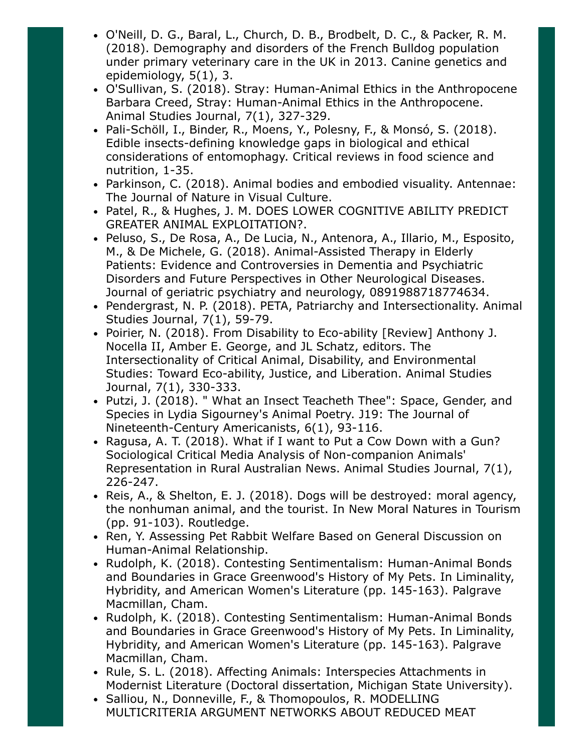- O'Neill, D. G., Baral, L., Church, D. B., Brodbelt, D. C., & Packer, R. M. (2018). Demography and disorders of the French Bulldog population under primary veterinary care in the UK in 2013. Canine genetics and epidemiology, 5(1), 3.
- O'Sullivan, S. (2018). Stray: Human-Animal Ethics in the Anthropocene Barbara Creed, Stray: Human-Animal Ethics in the Anthropocene. Animal Studies Journal, 7(1), 327-329.
- Pali-Schöll, I., Binder, R., Moens, Y., Polesny, F., & Monsó, S. (2018). Edible insects-defining knowledge gaps in biological and ethical considerations of entomophagy. Critical reviews in food science and nutrition, 1-35.
- Parkinson, C. (2018). Animal bodies and embodied visuality. Antennae: The Journal of Nature in Visual Culture.
- Patel, R., & Hughes, J. M. DOES LOWER COGNITIVE ABILITY PREDICT GREATER ANIMAL EXPLOITATION?.
- Peluso, S., De Rosa, A., De Lucia, N., Antenora, A., Illario, M., Esposito, M., & De Michele, G. (2018). Animal-Assisted Therapy in Elderly Patients: Evidence and Controversies in Dementia and Psychiatric Disorders and Future Perspectives in Other Neurological Diseases. Journal of geriatric psychiatry and neurology, 0891988718774634.
- Pendergrast, N. P. (2018). PETA, Patriarchy and Intersectionality. Animal Studies Journal, 7(1), 59-79.
- Poirier, N. (2018). From Disability to Eco-ability [Review] Anthony J. Nocella II, Amber E. George, and JL Schatz, editors. The Intersectionality of Critical Animal, Disability, and Environmental Studies: Toward Eco-ability, Justice, and Liberation. Animal Studies Journal, 7(1), 330-333.
- Putzi, J. (2018). " What an Insect Teacheth Thee": Space, Gender, and Species in Lydia Sigourney's Animal Poetry. J19: The Journal of Nineteenth-Century Americanists, 6(1), 93-116.
- Ragusa, A. T. (2018). What if I want to Put a Cow Down with a Gun? Sociological Critical Media Analysis of Non-companion Animals' Representation in Rural Australian News. Animal Studies Journal, 7(1), 226-247.
- Reis, A., & Shelton, E. J. (2018). Dogs will be destroyed: moral agency, the nonhuman animal, and the tourist. In New Moral Natures in Tourism (pp. 91-103). Routledge.
- Ren, Y. Assessing Pet Rabbit Welfare Based on General Discussion on Human-Animal Relationship.
- Rudolph, K. (2018). Contesting Sentimentalism: Human-Animal Bonds and Boundaries in Grace Greenwood's History of My Pets. In Liminality, Hybridity, and American Women's Literature (pp. 145-163). Palgrave Macmillan, Cham.
- Rudolph, K. (2018). Contesting Sentimentalism: Human-Animal Bonds and Boundaries in Grace Greenwood's History of My Pets. In Liminality, Hybridity, and American Women's Literature (pp. 145-163). Palgrave Macmillan, Cham.
- Rule, S. L. (2018). Affecting Animals: Interspecies Attachments in Modernist Literature (Doctoral dissertation, Michigan State University).
- Salliou, N., Donneville, F., & Thomopoulos, R. MODELLING MULTICRITERIA ARGUMENT NETWORKS ABOUT REDUCED MEAT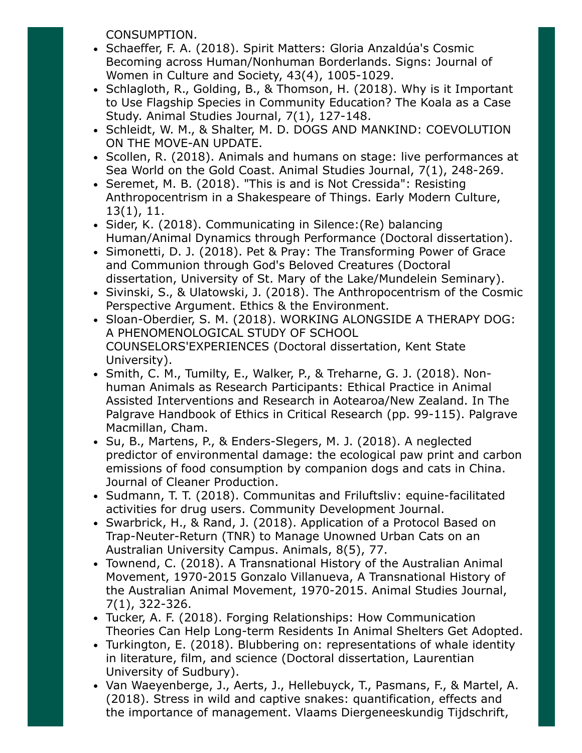CONSUMPTION.

- Schaeffer, F. A. (2018). Spirit Matters: Gloria Anzaldúa's Cosmic Becoming across Human/Nonhuman Borderlands. Signs: Journal of Women in Culture and Society, 43(4), 1005-1029.
- Schlagloth, R., Golding, B., & Thomson, H. (2018). Why is it Important to Use Flagship Species in Community Education? The Koala as a Case Study. Animal Studies Journal, 7(1), 127-148.
- Schleidt, W. M., & Shalter, M. D. DOGS AND MANKIND: COEVOLUTION ON THE MOVE-AN UPDATE.
- Scollen, R. (2018). Animals and humans on stage: live performances at Sea World on the Gold Coast. Animal Studies Journal, 7(1), 248-269.
- Seremet, M. B. (2018). "This is and is Not Cressida": Resisting Anthropocentrism in a Shakespeare of Things. Early Modern Culture, 13(1), 11.
- Sider, K. (2018). Communicating in Silence: (Re) balancing Human/Animal Dynamics through Performance (Doctoral dissertation).
- Simonetti, D. J. (2018). Pet & Pray: The Transforming Power of Grace and Communion through God's Beloved Creatures (Doctoral dissertation, University of St. Mary of the Lake/Mundelein Seminary).
- Sivinski, S., & Ulatowski, J. (2018). The Anthropocentrism of the Cosmic Perspective Argument. Ethics & the Environment.
- Sloan-Oberdier, S. M. (2018). WORKING ALONGSIDE A THERAPY DOG: A PHENOMENOLOGICAL STUDY OF SCHOOL COUNSELORS'EXPERIENCES (Doctoral dissertation, Kent State University).
- Smith, C. M., Tumilty, E., Walker, P., & Treharne, G. J. (2018). Nonhuman Animals as Research Participants: Ethical Practice in Animal Assisted Interventions and Research in Aotearoa/New Zealand. In The Palgrave Handbook of Ethics in Critical Research (pp. 99-115). Palgrave Macmillan, Cham.
- Su, B., Martens, P., & Enders-Slegers, M. J. (2018). A neglected predictor of environmental damage: the ecological paw print and carbon emissions of food consumption by companion dogs and cats in China. Journal of Cleaner Production.
- Sudmann, T. T. (2018). Communitas and Friluftsliv: equine-facilitated activities for drug users. Community Development Journal.
- Swarbrick, H., & Rand, J. (2018). Application of a Protocol Based on Trap-Neuter-Return (TNR) to Manage Unowned Urban Cats on an Australian University Campus. Animals, 8(5), 77.
- Townend, C. (2018). A Transnational History of the Australian Animal Movement, 1970-2015 Gonzalo Villanueva, A Transnational History of the Australian Animal Movement, 1970-2015. Animal Studies Journal, 7(1), 322-326.
- Tucker, A. F. (2018). Forging Relationships: How Communication Theories Can Help Long-term Residents In Animal Shelters Get Adopted.
- Turkington, E. (2018). Blubbering on: representations of whale identity in literature, film, and science (Doctoral dissertation, Laurentian University of Sudbury).
- Van Waeyenberge, J., Aerts, J., Hellebuyck, T., Pasmans, F., & Martel, A. (2018). Stress in wild and captive snakes: quantification, effects and the importance of management. Vlaams Diergeneeskundig Tijdschrift,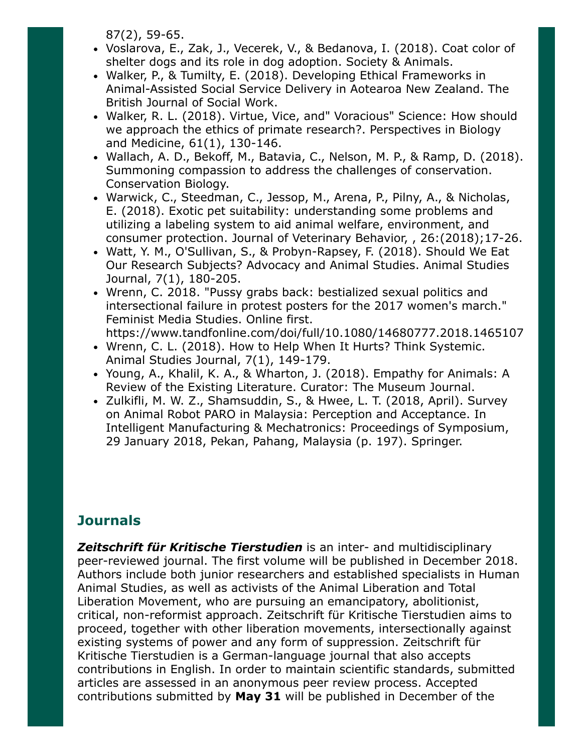87(2), 59-65.

- Voslarova, E., Zak, J., Vecerek, V., & Bedanova, I. (2018). Coat color of shelter dogs and its role in dog adoption. Society & Animals.
- Walker, P., & Tumilty, E. (2018). Developing Ethical Frameworks in Animal-Assisted Social Service Delivery in Aotearoa New Zealand. The British Journal of Social Work.
- Walker, R. L. (2018). Virtue, Vice, and" Voracious" Science: How should we approach the ethics of primate research?. Perspectives in Biology and Medicine, 61(1), 130-146.
- Wallach, A. D., Bekoff, M., Batavia, C., Nelson, M. P., & Ramp, D. (2018). Summoning compassion to address the challenges of conservation. Conservation Biology.
- Warwick, C., Steedman, C., Jessop, M., Arena, P., Pilny, A., & Nicholas, E. (2018). Exotic pet suitability: understanding some problems and utilizing a labeling system to aid animal welfare, environment, and consumer protection. Journal of Veterinary Behavior, , 26:(2018);17-26.
- Watt, Y. M., O'Sullivan, S., & Probyn-Rapsey, F. (2018). Should We Eat Our Research Subjects? Advocacy and Animal Studies. Animal Studies Journal, 7(1), 180-205.
- Wrenn, C. 2018. "Pussy grabs back: bestialized sexual politics and intersectional failure in protest posters for the 2017 women's march." Feminist Media Studies. Online first. https://www.tandfonline.com/doi/full/10.1080/14680777.2018.1465107
- Wrenn, C. L. (2018). How to Help When It Hurts? Think Systemic. Animal Studies Journal, 7(1), 149-179.
- Young, A., Khalil, K. A., & Wharton, J. (2018). Empathy for Animals: A Review of the Existing Literature. Curator: The Museum Journal.
- Zulkifli, M. W. Z., Shamsuddin, S., & Hwee, L. T. (2018, April). Survey on Animal Robot PARO in Malaysia: Perception and Acceptance. In Intelligent Manufacturing & Mechatronics: Proceedings of Symposium, 29 January 2018, Pekan, Pahang, Malaysia (p. 197). Springer.

# **Journals**

**Zeitschrift für Kritische Tierstudien** is an inter- and multidisciplinary peer-reviewed journal. The first volume will be published in December 2018. Authors include both junior researchers and established specialists in Human Animal Studies, as well as activists of the Animal Liberation and Total Liberation Movement, who are pursuing an emancipatory, abolitionist, critical, non-reformist approach. Zeitschrift für Kritische Tierstudien aims to proceed, together with other liberation movements, intersectionally against existing systems of power and any form of suppression. Zeitschrift für Kritische Tierstudien is a German-language journal that also accepts contributions in English. In order to maintain scientific standards, submitted articles are assessed in an anonymous peer review process. Accepted contributions submitted by May 31 will be published in December of the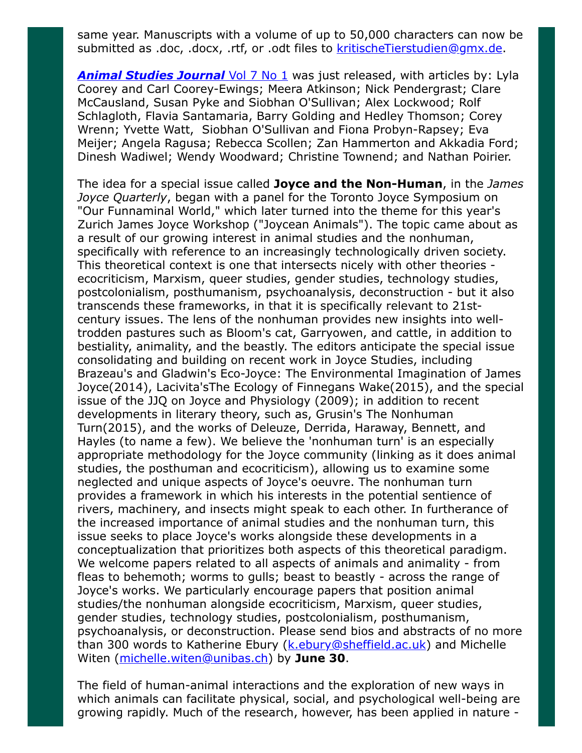same year. Manuscripts with a volume of up to 50,000 characters can now be submitted as .doc, .docx, .rtf, or .odt files to [kritischeTierstudien@gmx.de](mailto:kritischeTierstudien@gmx.de).

**[Animal Studies Journal](http://ro.uow.edu.au/asj/vol7/iss1/1/)** Vol 7 No 1 was just released, with articles by: Lyla Coorey and Carl Coorey-Ewings; Meera Atkinson; Nick Pendergrast; Clare McCausland, Susan Pyke and Siobhan O'Sullivan; Alex Lockwood; Rolf Schlagloth, Flavia Santamaria, Barry Golding and Hedley Thomson; Corey Wrenn; Yvette Watt, Siobhan O'Sullivan and Fiona Probyn-Rapsey; Eva Meijer; Angela Ragusa; Rebecca Scollen; Zan Hammerton and Akkadia Ford; Dinesh Wadiwel; Wendy Woodward; Christine Townend; and Nathan Poirier.

The idea for a special issue called **Joyce and the Non-Human**, in the *James* Joyce Quarterly, began with a panel for the Toronto Joyce Symposium on "Our Funnaminal World," which later turned into the theme for this year's Zurich James Joyce Workshop ("Joycean Animals"). The topic came about as a result of our growing interest in animal studies and the nonhuman, specifically with reference to an increasingly technologically driven society. This theoretical context is one that intersects nicely with other theories ecocriticism, Marxism, queer studies, gender studies, technology studies, postcolonialism, posthumanism, psychoanalysis, deconstruction - but it also transcends these frameworks, in that it is specifically relevant to 21stcentury issues. The lens of the nonhuman provides new insights into welltrodden pastures such as Bloom's cat, Garryowen, and cattle, in addition to bestiality, animality, and the beastly. The editors anticipate the special issue consolidating and building on recent work in Joyce Studies, including Brazeau's and Gladwin's Eco-Joyce: The Environmental Imagination of James Joyce(2014), Lacivita'sThe Ecology of Finnegans Wake(2015), and the special issue of the JJQ on Joyce and Physiology (2009); in addition to recent developments in literary theory, such as, Grusin's The Nonhuman Turn(2015), and the works of Deleuze, Derrida, Haraway, Bennett, and Hayles (to name a few). We believe the 'nonhuman turn' is an especially appropriate methodology for the Joyce community (linking as it does animal studies, the posthuman and ecocriticism), allowing us to examine some neglected and unique aspects of Joyce's oeuvre. The nonhuman turn provides a framework in which his interests in the potential sentience of rivers, machinery, and insects might speak to each other. In furtherance of the increased importance of animal studies and the nonhuman turn, this issue seeks to place Joyce's works alongside these developments in a conceptualization that prioritizes both aspects of this theoretical paradigm. We welcome papers related to all aspects of animals and animality - from fleas to behemoth; worms to gulls; beast to beastly - across the range of Joyce's works. We particularly encourage papers that position animal studies/the nonhuman alongside ecocriticism, Marxism, queer studies, gender studies, technology studies, postcolonialism, posthumanism, psychoanalysis, or deconstruction. Please send bios and abstracts of no more than 300 words to Katherine Ebury ([k.ebury@sheffield.ac.uk](mailto:k.ebury@sheffield.ac.uk)) and Michelle Witen ([michelle.witen@unibas.ch](mailto:michelle.witen@unibas.ch)) by June 30.

The field of human-animal interactions and the exploration of new ways in which animals can facilitate physical, social, and psychological well-being are growing rapidly. Much of the research, however, has been applied in nature -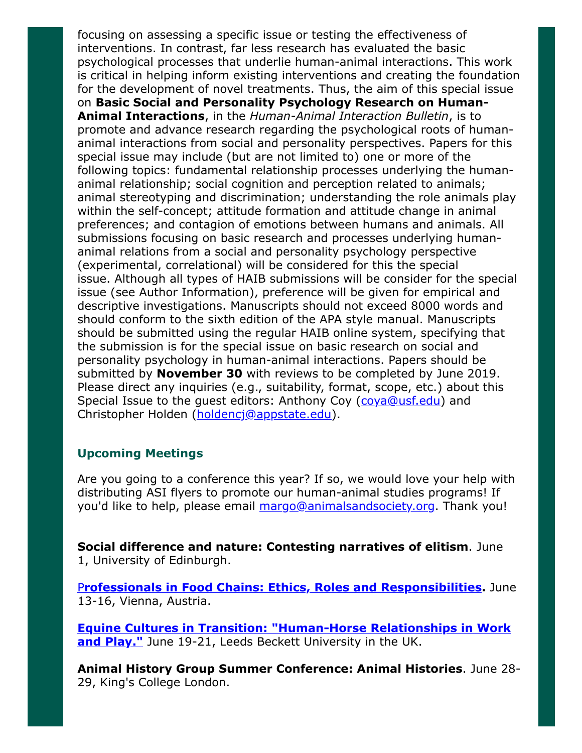focusing on assessing a specific issue or testing the effectiveness of interventions. In contrast, far less research has evaluated the basic psychological processes that underlie human-animal interactions. This work is critical in helping inform existing interventions and creating the foundation for the development of novel treatments. Thus, the aim of this special issue on Basic Social and Personality Psychology Research on Human-Animal Interactions, in the Human-Animal Interaction Bulletin, is to promote and advance research regarding the psychological roots of humananimal interactions from social and personality perspectives. Papers for this special issue may include (but are not limited to) one or more of the following topics: fundamental relationship processes underlying the humananimal relationship; social cognition and perception related to animals; animal stereotyping and discrimination; understanding the role animals play within the self-concept; attitude formation and attitude change in animal preferences; and contagion of emotions between humans and animals. All submissions focusing on basic research and processes underlying humananimal relations from a social and personality psychology perspective (experimental, correlational) will be considered for this the special issue. Although all types of HAIB submissions will be consider for the special issue (see Author Information), preference will be given for empirical and descriptive investigations. Manuscripts should not exceed 8000 words and should conform to the sixth edition of the APA style manual. Manuscripts should be submitted using the regular HAIB online system, specifying that the submission is for the special issue on basic research on social and personality psychology in human-animal interactions. Papers should be submitted by **November 30** with reviews to be completed by June 2019. Please direct any inquiries (e.g., suitability, format, scope, etc.) about this Special Issue to the guest editors: Anthony Coy ([coya@usf.edu](mailto:coya@usf.edu)) and Christopher Holden ([holdencj@appstate.edu](http://holdencj@appstate.edu/)).

## Upcoming Meetings

Are you going to a conference this year? If so, we would love your help with distributing ASI flyers to promote our human-animal studies programs! If you'd like to help, please email [margo@animalsandsociety.org.](mailto:margo@animalsandsociety.org) Thank you!

Social difference and nature: Contesting narratives of elitism. June 1, University of Edinburgh.

**P[rofessionals in Food Chains: Ethics, Roles and Responsibilities](https://www.vetmeduni.ac.at/de/eursafe2018/welcome/).** June 13-16, Vienna, Austria.

[Equine Cultures in Transition: "Human-Horse Relationships in Work](http://www.leedsbeckett.ac.uk/events/faculty-events/equine-cultures-in-transition/) and Play." June 19-21, Leeds Beckett University in the UK.

Animal History Group Summer Conference: Animal Histories. June 28- 29, King's College London.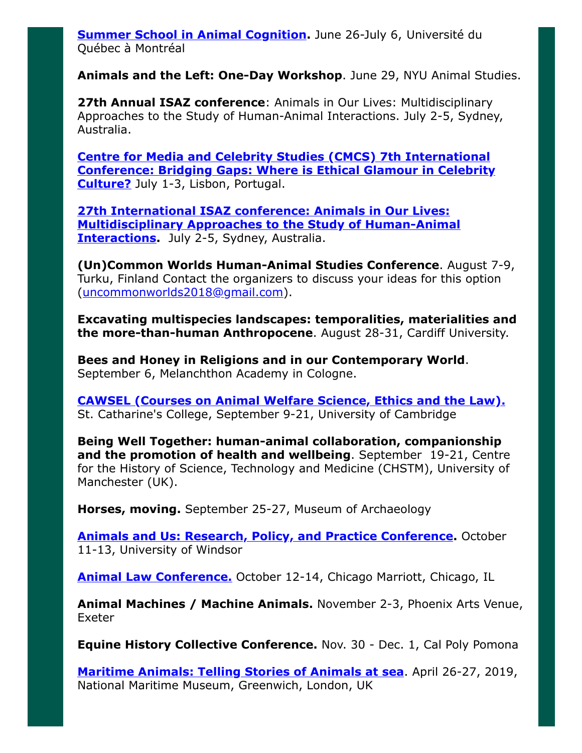[Summer School in Animal Cognition.](https://sites.grenadine.uqam.ca/sites/isc/en/summer18) June 26-July 6, Université du Québec à Montréal

Animals and the Left: One-Day Workshop. June 29, NYU Animal Studies.

27th Annual ISAZ conference: Animals in Our Lives: Multidisciplinary Approaches to the Study of Human-Animal Interactions. July 2-5, Sydney, Australia.

Centre for Media and Celebrity Studies (CMCS) 7th International [Conference: Bridging Gaps: Where is Ethical Glamour in Celebrity](http://cmc-centre.com/conferences/lisbon2018/) Culture? July 1-3, Lisbon, Portugal.

27th International ISAZ conference: Animals in Our Lives: [Multidisciplinary Approaches to the Study of Human-Animal](http://www.isaz2018.com/) **Interactions.** July 2-5, Sydney, Australia.

(Un)Common Worlds Human-Animal Studies Conference. August 7-9, Turku, Finland Contact the organizers to discuss your ideas for this option ([uncommonworlds2018@gmail.com](mailto:uncommonworlds2018@gmail.com)).

Excavating multispecies landscapes: temporalities, materialities and the more-than-human Anthropocene. August 28-31, Cardiff University.

Bees and Honey in Religions and in our Contemporary World. September 6, Melanchthon Academy in Cologne.

[CAWSEL \(Courses on Animal Welfare Science, Ethics and the Law\).](http://cawsel.com/) St. Catharine's College, September 9-21, University of Cambridge

Being Well Together: human-animal collaboration, companionship and the promotion of health and wellbeing. September 19-21, Centre for the History of Science, Technology and Medicine (CHSTM), University of Manchester (UK).

**Horses, moving.** September 25-27, Museum of Archaeology

**[Animals and Us: Research, Policy, and Practice Conference.](http://www.uwindsor.ca/aipabuseresearchgroup/315/conference-animals-and-us)** October 11-13, University of Windsor

[Animal Law Conference.](http://www.animallawconference.com/) October 12-14, Chicago Marriott, Chicago, IL

Animal Machines / Machine Animals. November 2-3, Phoenix Arts Venue, Exeter

Equine History Collective Conference. Nov. 30 - Dec. 1, Cal Poly Pomona

**[Maritime Animals: Telling Stories of Animals at sea](https://research.kent.ac.uk/kentanimalhumanitiesnetwork/maritime-animals-conference/)**. April 26-27, 2019, National Maritime Museum, Greenwich, London, UK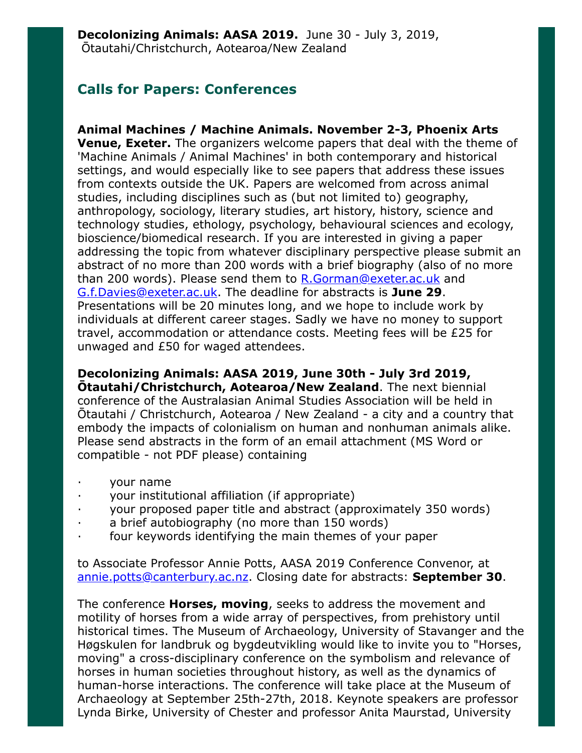# Calls for Papers: Conferences

Animal Machines / Machine Animals. November 2-3, Phoenix Arts **Venue, Exeter.** The organizers welcome papers that deal with the theme of 'Machine Animals / Animal Machines' in both contemporary and historical settings, and would especially like to see papers that address these issues from contexts outside the UK. Papers are welcomed from across animal studies, including disciplines such as (but not limited to) geography, anthropology, sociology, literary studies, art history, history, science and technology studies, ethology, psychology, behavioural sciences and ecology, bioscience/biomedical research. If you are interested in giving a paper addressing the topic from whatever disciplinary perspective please submit an abstract of no more than 200 words with a brief biography (also of no more than 200 words). Please send them to [R.Gorman@exeter.ac.uk](mailto:R.Gorman@exeter.ac.uk) and [G.f.Davies@exeter.ac.uk](mailto:G.f.Davies@exeter.ac.uk). The deadline for abstracts is June 29. Presentations will be 20 minutes long, and we hope to include work by individuals at different career stages. Sadly we have no money to support travel, accommodation or attendance costs. Meeting fees will be £25 for unwaged and £50 for waged attendees.

## Decolonizing Animals: AASA 2019, June 30th - July 3rd 2019,

Ōtautahi/Christchurch, Aotearoa/New Zealand. The next biennial conference of the Australasian Animal Studies Association will be held in Ōtautahi / Christchurch, Aotearoa / New Zealand - a city and a country that embody the impacts of colonialism on human and nonhuman animals alike. Please send abstracts in the form of an email attachment (MS Word or compatible - not PDF please) containing

- · your name
- · your institutional affiliation (if appropriate)
- · your proposed paper title and abstract (approximately 350 words)
- a brief autobiography (no more than 150 words)
- four keywords identifying the main themes of your paper

to Associate Professor Annie Potts, AASA 2019 Conference Convenor, at [annie.potts@canterbury.ac.nz.](mailto:annie.potts@canterbury.ac.nz) Closing date for abstracts: September 30.

The conference **Horses, moving**, seeks to address the movement and motility of horses from a wide array of perspectives, from prehistory until historical times. The Museum of Archaeology, University of Stavanger and the Høgskulen for landbruk og bygdeutvikling would like to invite you to "Horses, moving" a cross-disciplinary conference on the symbolism and relevance of horses in human societies throughout history, as well as the dynamics of human-horse interactions. The conference will take place at the Museum of Archaeology at September 25th-27th, 2018. Keynote speakers are professor Lynda Birke, University of Chester and professor Anita Maurstad, University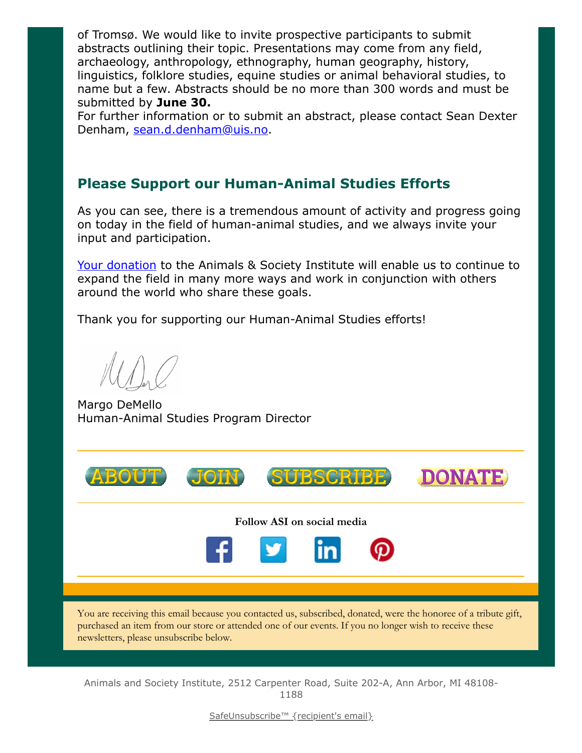of Tromsø. We would like to invite prospective participants to submit abstracts outlining their topic. Presentations may come from any field, archaeology, anthropology, ethnography, human geography, history, linguistics, folklore studies, equine studies or animal behavioral studies, to name but a few. Abstracts should be no more than 300 words and must be submitted by **June 30.** 

For further information or to submit an abstract, please contact Sean Dexter Denham, [sean.d.denham@uis.no](mailto:sean.d.denham@uis.no).

# Please Support our Human-Animal Studies Efforts

As you can see, there is a tremendous amount of activity and progress going on today in the field of human-animal studies, and we always invite your input and participation.

[Your donation](https://www.givedirect.org/donate/?cid=4552) to the Animals & Society Institute will enable us to continue to expand the field in many more ways and work in conjunction with others around the world who share these goals.

Thank you for supporting our Human-Animal Studies efforts!

Margo DeMello Human-Animal Studies Program Director





Follow ASI on social media



You are receiving this email because you contacted us, subscribed, donated, were the honoree of a tribute gift, purchased an item from our store or attended one of our events. If you no longer wish to receive these newsletters, please unsubscribe below.

Animals and Society Institute, 2512 Carpenter Road, Suite 202-A, Ann Arbor, MI 48108- 1188

[SafeUnsubscribe™ {recipient's email}](https://visitor.constantcontact.com/do?p=un&mse=0016u8cGCOk4ijLe6EYFlbq8UmlFeKV0nFU&t=001YZ833UMnaO3t8JXd1GGqAA%3D%3D&id=001b-xBWU3VMkcM8dYr8taaWXSJRe02Iknl&llr=88spulqab)